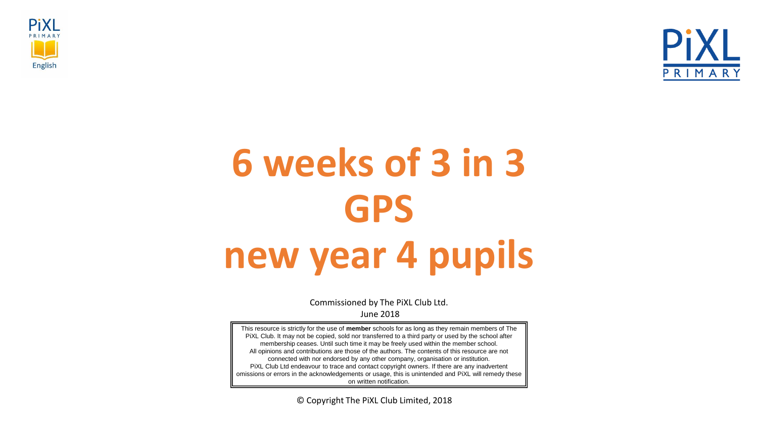



# **6 weeks of 3 in 3 GPS new year 4 pupils**

Commissioned by The PiXL Club Ltd. June 2018

This resource is strictly for the use of **member** schools for as long as they remain members of The PiXL Club. It may not be copied, sold nor transferred to a third party or used by the school after membership ceases. Until such time it may be freely used within the member school. All opinions and contributions are those of the authors. The contents of this resource are not connected with nor endorsed by any other company, organisation or institution. PiXL Club Ltd endeavour to trace and contact copyright owners. If there are any inadvertent omissions or errors in the acknowledgements or usage, this is unintended and PiXL will remedy these on written notification.

© Copyright The PiXL Club Limited, 2018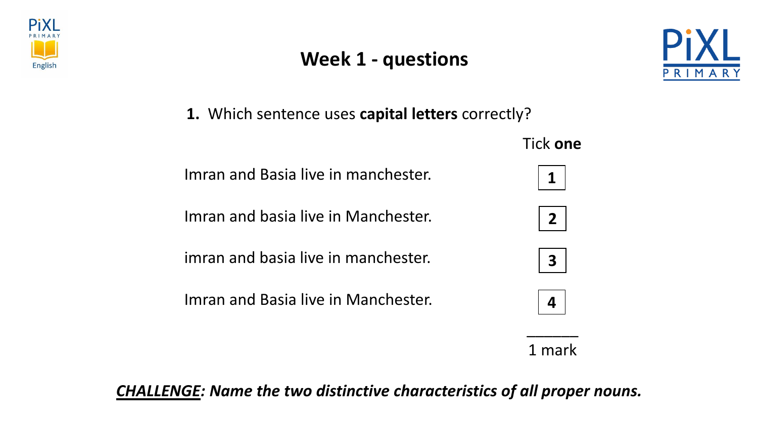





**1.** Which sentence uses **capital letters** correctly?

Imran and Basia live in manchester.

Imran and basia live in Manchester.

imran and basia live in manchester.

Imran and Basia live in Manchester.



Tick **one**









 $\overline{\phantom{a}}$ 

*CHALLENGE: Name the two distinctive characteristics of all proper nouns.*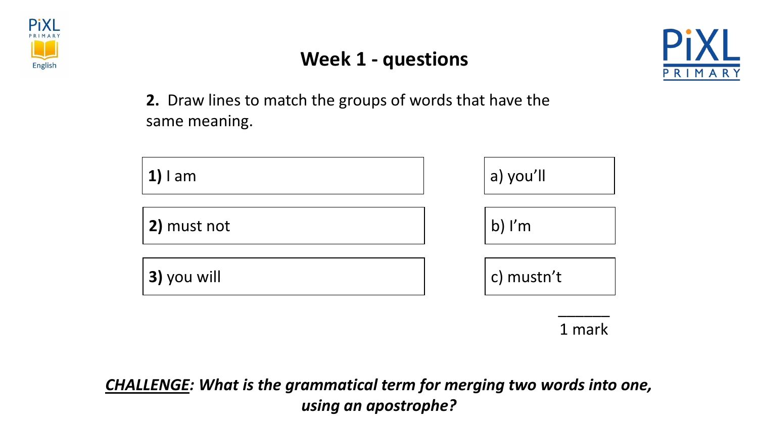

#### **Week 1 - questions**



**2.** Draw lines to match the groups of words that have the same meaning.



1 mark

*CHALLENGE: What is the grammatical term for merging two words into one, using an apostrophe?*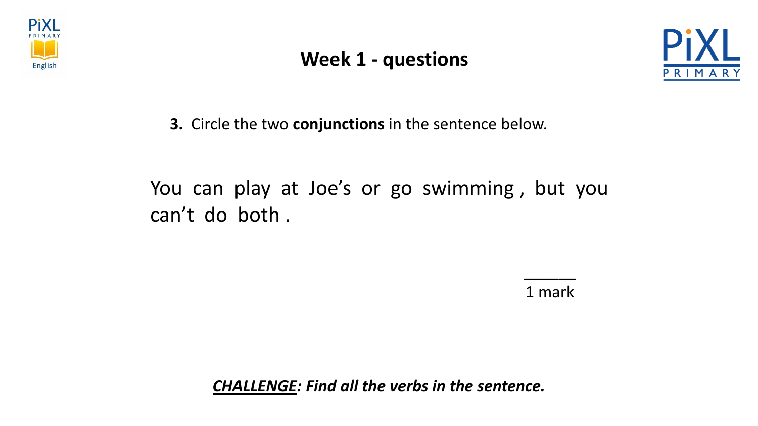

#### **Week 1 - questions**



**3.** Circle the two **conjunctions** in the sentence below.

### You can play at Joe's or go swimming, but you can't do both .

1 mark

 $\overline{\phantom{a}}$ 

*CHALLENGE: Find all the verbs in the sentence.*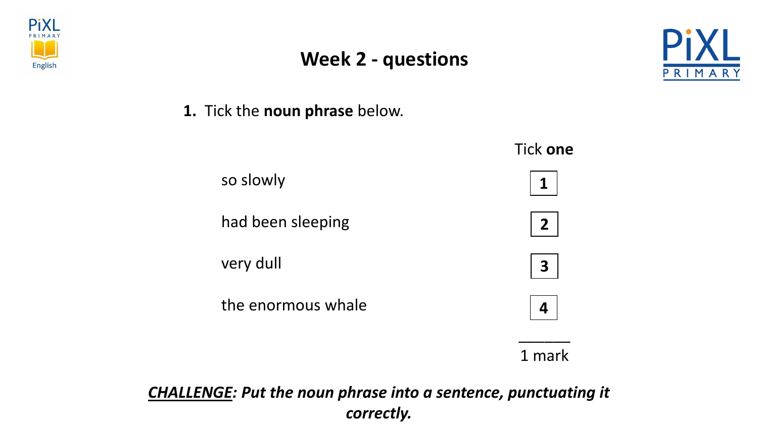





**1.** Tick the **noun phrase** below.



*CHALLENGE: Put the noun phrase into a sentence, punctuating it correctly.*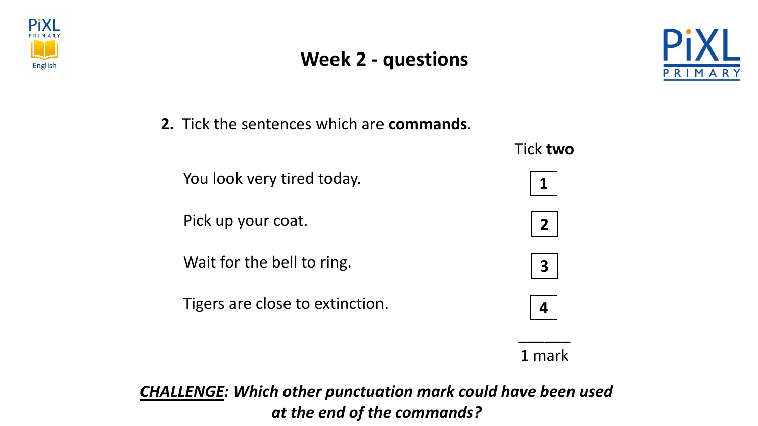

#### **Week 2 - questions**



**2.** Tick the sentences which are **commands**.

|                                 | <b>Tick two</b>         |
|---------------------------------|-------------------------|
| You look very tired today.      | 1                       |
| Pick up your coat.              | 2 <sup>1</sup>          |
| Wait for the bell to ring.      | $\overline{\mathbf{3}}$ |
| Tigers are close to extinction. | 4                       |
|                                 | mark                    |

*CHALLENGE: Which other punctuation mark could have been used at the end of the commands?*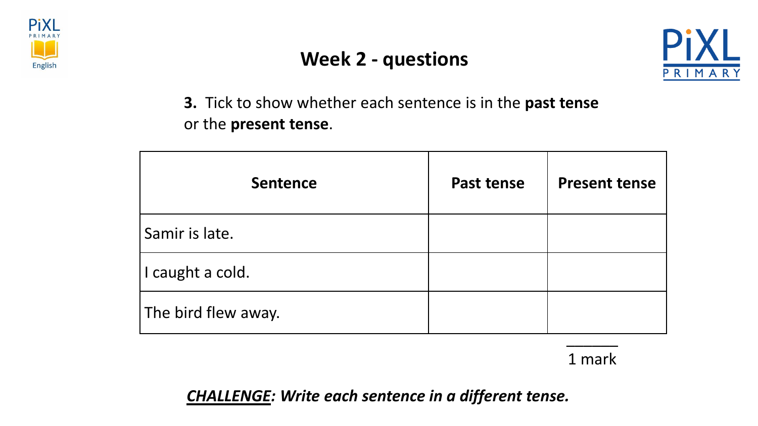





**3.** Tick to show whether each sentence is in the **past tense**  or the **present tense**.

| <b>Sentence</b>     | <b>Past tense</b> | <b>Present tense</b> |
|---------------------|-------------------|----------------------|
| Samir is late.      |                   |                      |
| I caught a cold.    |                   |                      |
| The bird flew away. |                   |                      |
|                     |                   |                      |

1 mark

*CHALLENGE: Write each sentence in a different tense.*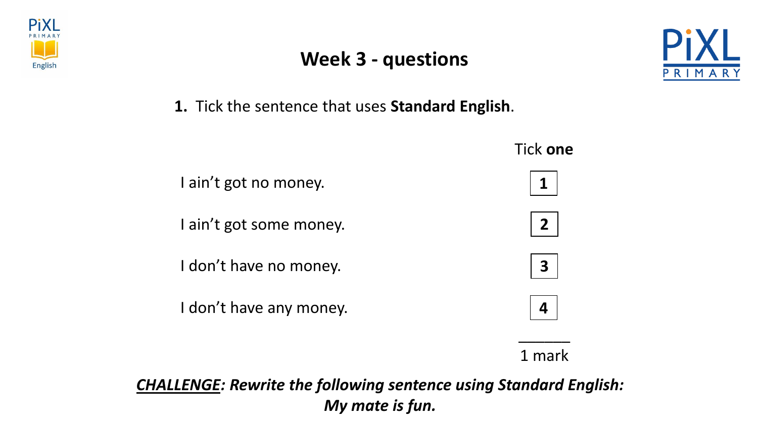





**1.** Tick the sentence that uses **Standard English**.

|                         | Tick one                |
|-------------------------|-------------------------|
| I ain't got no money.   |                         |
| I ain't got some money. | 2                       |
| I don't have no money.  | $\overline{\mathbf{3}}$ |
| I don't have any money. |                         |
|                         |                         |

1 mark

*CHALLENGE: Rewrite the following sentence using Standard English: My mate is fun.*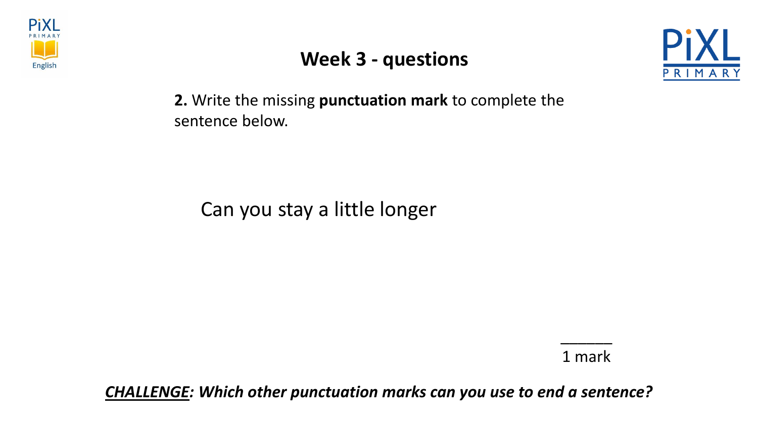





**2.** Write the missing **punctuation mark** to complete the sentence below.

Can you stay a little longer

1 mark

\_\_\_\_\_\_

*CHALLENGE: Which other punctuation marks can you use to end a sentence?*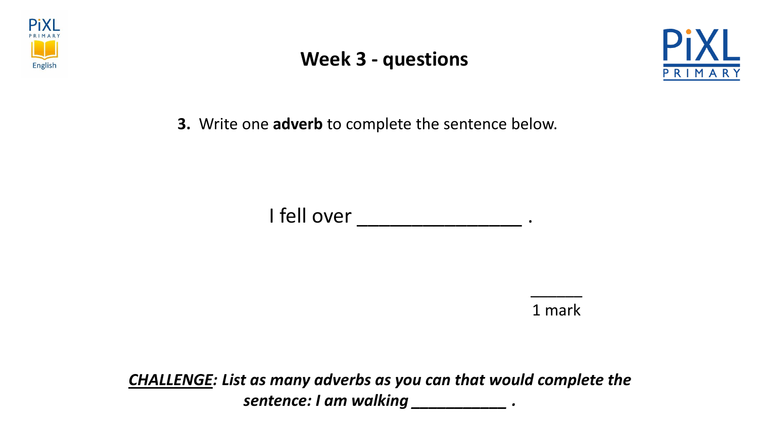





**3.** Write one **adverb** to complete the sentence below.

I fell over \_\_\_\_\_\_\_\_\_\_\_\_\_\_\_\_\_\_ .

1 mark

\_\_\_\_\_\_

*CHALLENGE: List as many adverbs as you can that would complete the sentence: I am walking \_\_\_\_\_\_\_\_\_\_\_ .*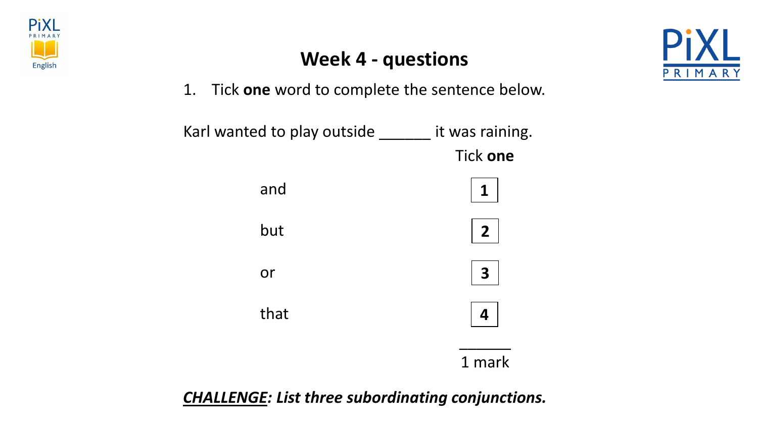





1. Tick **one** word to complete the sentence below.



*CHALLENGE: List three subordinating conjunctions.*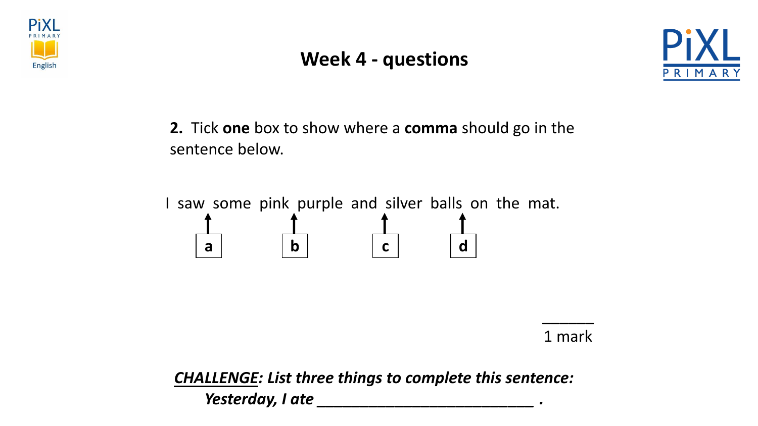

#### **Week 4 - questions**



**2.** Tick **one** box to show where a **comma** should go in the sentence below.

I saw some pink purple and silver balls on the mat. **a b c d** 

1 mark

\_\_\_\_\_\_

*CHALLENGE: List three things to complete this sentence: Yesterday, I ate \_\_\_\_\_\_\_\_\_\_\_\_\_\_\_\_\_\_\_\_\_\_\_\_\_ .*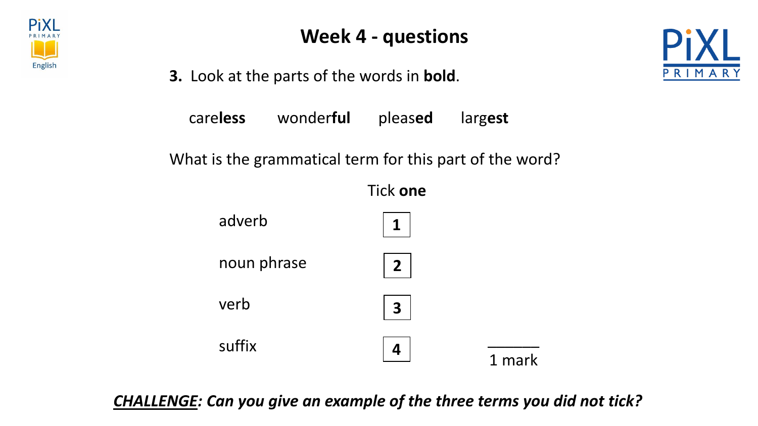

**3.** Look at the parts of the words in **bold**.

care**less** wonder**ful** pleas**ed** larg**est**

What is the grammatical term for this part of the word?



*CHALLENGE: Can you give an example of the three terms you did not tick?*

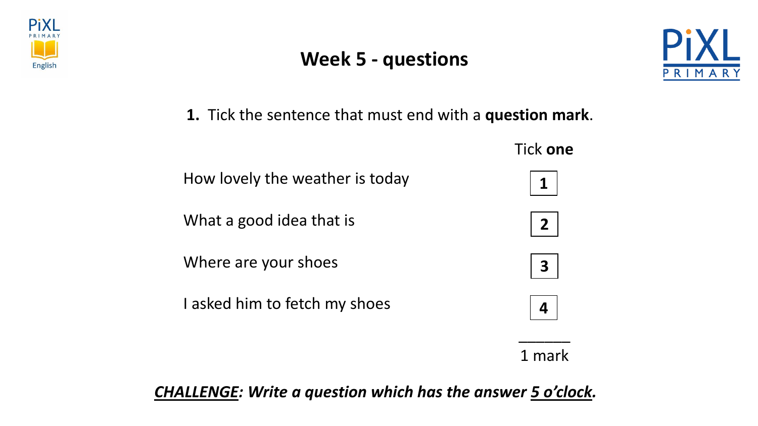





**1.** Tick the sentence that must end with a **question mark**.



1 mark

*CHALLENGE: Write a question which has the answer 5 o'clock.*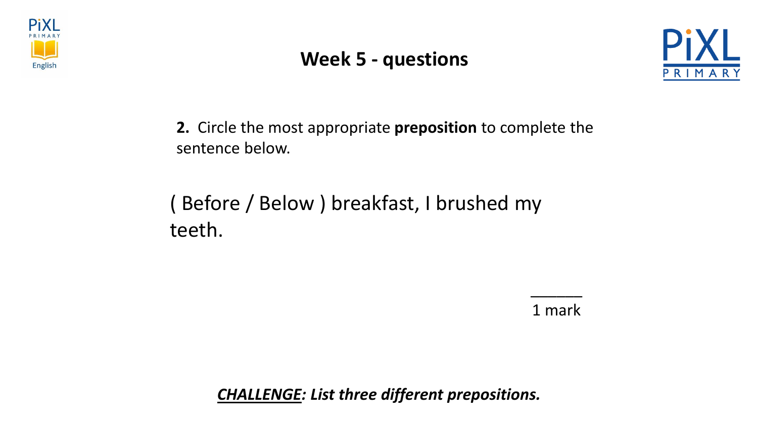

#### **Week 5 - questions**



**2.** Circle the most appropriate **preposition** to complete the sentence below.

# ( Before / Below ) breakfast, I brushed my teeth.

1 mark

\_\_\_\_\_\_

*CHALLENGE: List three different prepositions.*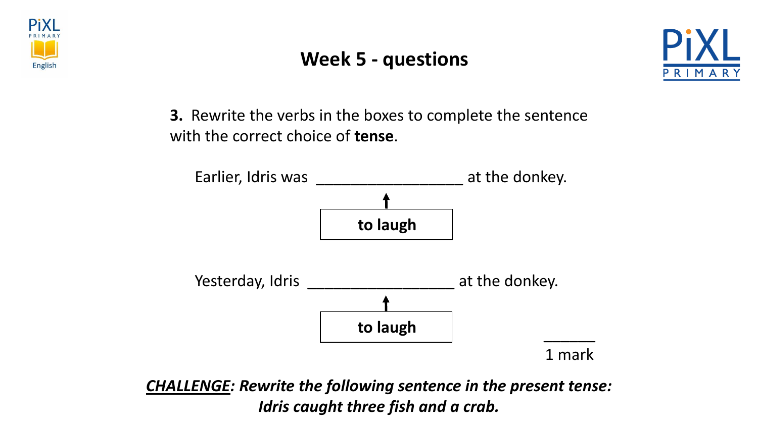





**3.** Rewrite the verbs in the boxes to complete the sentence with the correct choice of **tense**.



*CHALLENGE: Rewrite the following sentence in the present tense: Idris caught three fish and a crab.*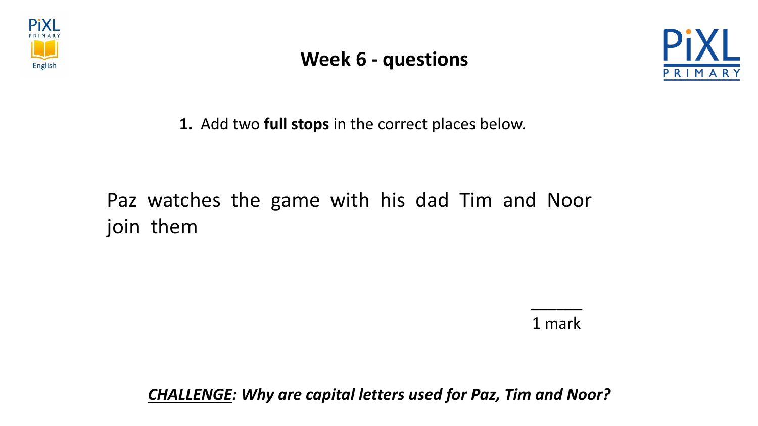





**1.** Add two **full stops** in the correct places below.

## Paz watches the game with his dad Tim and Noor join them

1 mark

\_\_\_\_\_\_

*CHALLENGE: Why are capital letters used for Paz, Tim and Noor?*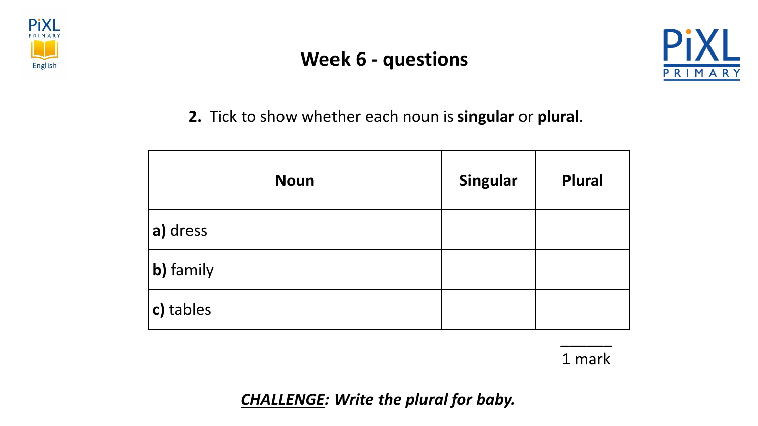

#### **Week 6 - questions**



**2.** Tick to show whether each noun is **singular** or **plural**.

| <b>Noun</b> | Singular | <b>Plural</b> |
|-------------|----------|---------------|
| a) dress    |          |               |
| b) family   |          |               |
| c) tables   |          |               |

1 mark

\_\_\_\_\_\_

*CHALLENGE: Write the plural for baby.*